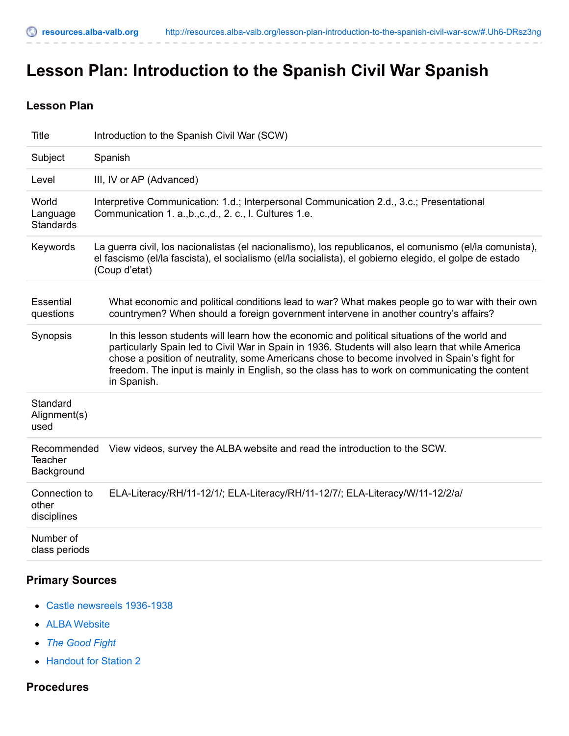# **Lesson Plan: Introduction to the Spanish Civil War Spanish**

## **Lesson Plan**

| <b>Title</b>                                | Introduction to the Spanish Civil War (SCW)                                                                                                                                                                                                                                                                                                                                                                         |
|---------------------------------------------|---------------------------------------------------------------------------------------------------------------------------------------------------------------------------------------------------------------------------------------------------------------------------------------------------------------------------------------------------------------------------------------------------------------------|
| Subject                                     | Spanish                                                                                                                                                                                                                                                                                                                                                                                                             |
| Level                                       | III, IV or AP (Advanced)                                                                                                                                                                                                                                                                                                                                                                                            |
| World<br>Language<br><b>Standards</b>       | Interpretive Communication: 1.d.; Interpersonal Communication 2.d., 3.c.; Presentational<br>Communication 1. a.,b.,c.,d., 2. c., I. Cultures 1.e.                                                                                                                                                                                                                                                                   |
| Keywords                                    | La guerra civil, los nacionalistas (el nacionalismo), los republicanos, el comunismo (el/la comunista),<br>el fascismo (el/la fascista), el socialismo (el/la socialista), el gobierno elegido, el golpe de estado<br>(Coup d'etat)                                                                                                                                                                                 |
| Essential<br>questions                      | What economic and political conditions lead to war? What makes people go to war with their own<br>countrymen? When should a foreign government intervene in another country's affairs?                                                                                                                                                                                                                              |
| Synopsis                                    | In this lesson students will learn how the economic and political situations of the world and<br>particularly Spain led to Civil War in Spain in 1936. Students will also learn that while America<br>chose a position of neutrality, some Americans chose to become involved in Spain's fight for<br>freedom. The input is mainly in English, so the class has to work on communicating the content<br>in Spanish. |
| Standard<br>Alignment(s)<br>used            |                                                                                                                                                                                                                                                                                                                                                                                                                     |
| Recommended<br><b>Teacher</b><br>Background | View videos, survey the ALBA website and read the introduction to the SCW.                                                                                                                                                                                                                                                                                                                                          |
| Connection to<br>other<br>disciplines       | ELA-Literacy/RH/11-12/1/; ELA-Literacy/RH/11-12/7/; ELA-Literacy/W/11-12/2/a/                                                                                                                                                                                                                                                                                                                                       |
| Number of<br>class periods                  |                                                                                                                                                                                                                                                                                                                                                                                                                     |

## **Primary Sources**

- Castle newsreels [1936-1938](http://www.youtube.com/watch?v=zTibIw4J1g0)
- ALBA [Website](http://www.alba-valb.org/history/spanish-civil-war)
- *The [Good](http://www.youtube.com/watch?v=URtWFEKHsvs) Fight*
- [Handout](https://docs.google.com/a/sslcs.org/file/d/0B9oYB3ZaZxWVUUJmNm8weGh2cmM/edit?usp=sharing) for Station 2

## **Procedures**